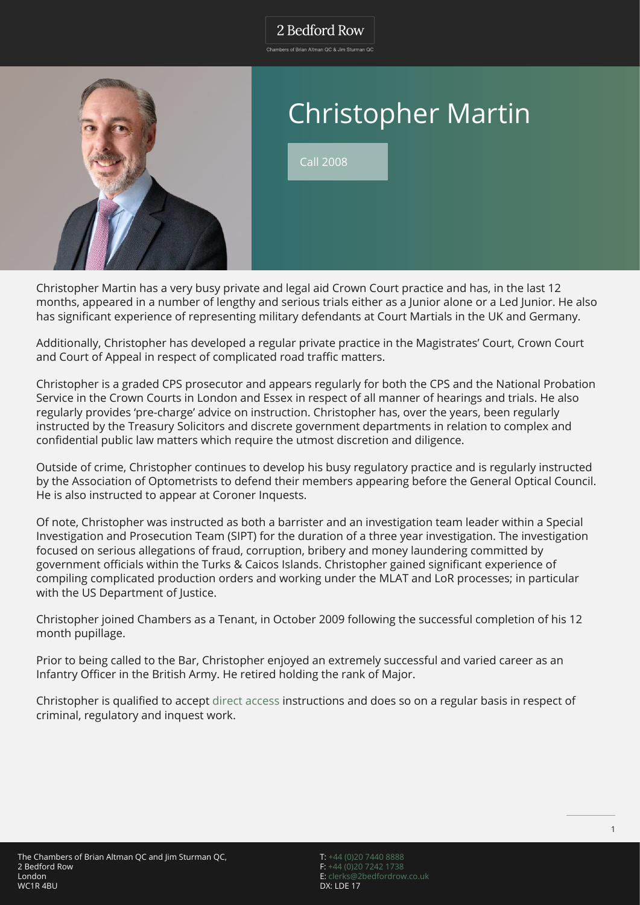## 2 Bedford Row

.<br>Chambers of Brian Altman OC & Jim Sturman OC



# Christopher Martin

Call 2008

Christopher Martin has a very busy private and legal aid Crown Court practice and has, in the last 12 months, appeared in a number of lengthy and serious trials either as a Junior alone or a Led Junior. He also has significant experience of representing military defendants at Court Martials in the UK and Germany.

Additionally, Christopher has developed a regular private practice in the Magistrates' Court, Crown Court and Court of Appeal in respect of complicated road traffic matters.

Christopher is a graded CPS prosecutor and appears regularly for both the CPS and the National Probation Service in the Crown Courts in London and Essex in respect of all manner of hearings and trials. He also regularly provides 'pre-charge' advice on instruction. Christopher has, over the years, been regularly instructed by the Treasury Solicitors and discrete government departments in relation to complex and confidential public law matters which require the utmost discretion and diligence.

Outside of crime, Christopher continues to develop his busy regulatory practice and is regularly instructed by the Association of Optometrists to defend their members appearing before the General Optical Council. He is also instructed to appear at Coroner Inquests.

Of note, Christopher was instructed as both a barrister and an investigation team leader within a Special Investigation and Prosecution Team (SIPT) for the duration of a three year investigation. The investigation focused on serious allegations of fraud, corruption, bribery and money laundering committed by government officials within the Turks & Caicos Islands. Christopher gained significant experience of compiling complicated production orders and working under the MLAT and LoR processes; in particular with the US Department of Justice.

Christopher joined Chambers as a Tenant, in October 2009 following the successful completion of his 12 month pupillage.

Prior to being called to the Bar, Christopher enjoyed an extremely successful and varied career as an Infantry Officer in the British Army. He retired holding the rank of Major.

Christopher is qualified to accept [direct access](https://www.2bedfordrow.co.uk/direct-access/) instructions and does so on a regular basis in respect of criminal, regulatory and inquest work.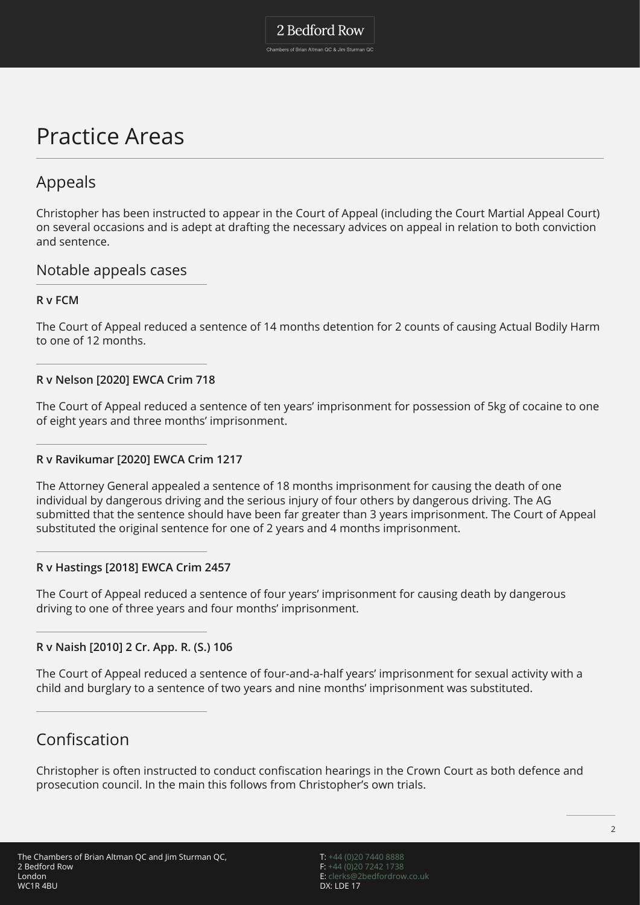# 2 Bedford Row

Chambers of Brian Altman QC & Jim Sturman QC

# Practice Areas

# Appeals

Christopher has been instructed to appear in the Court of Appeal (including the Court Martial Appeal Court) on several occasions and is adept at drafting the necessary advices on appeal in relation to both conviction and sentence.

## Notable appeals cases

#### **R v FCM**

The Court of Appeal reduced a sentence of 14 months detention for 2 counts of causing Actual Bodily Harm to one of 12 months.

#### **R v Nelson [2020] EWCA Crim 718**

The Court of Appeal reduced a sentence of ten years' imprisonment for possession of 5kg of cocaine to one of eight years and three months' imprisonment.

#### **R v Ravikumar [2020] EWCA Crim 1217**

The Attorney General appealed a sentence of 18 months imprisonment for causing the death of one individual by dangerous driving and the serious injury of four others by dangerous driving. The AG submitted that the sentence should have been far greater than 3 years imprisonment. The Court of Appeal substituted the original sentence for one of 2 years and 4 months imprisonment.

#### **R v Hastings [2018] EWCA Crim 2457**

The Court of Appeal reduced a sentence of four years' imprisonment for causing death by dangerous driving to one of three years and four months' imprisonment.

#### **R v Naish [2010] 2 Cr. App. R. (S.) 106**

The Court of Appeal reduced a sentence of four-and-a-half years' imprisonment for sexual activity with a child and burglary to a sentence of two years and nine months' imprisonment was substituted.

# Confiscation

Christopher is often instructed to conduct confiscation hearings in the Crown Court as both defence and prosecution council. In the main this follows from Christopher's own trials.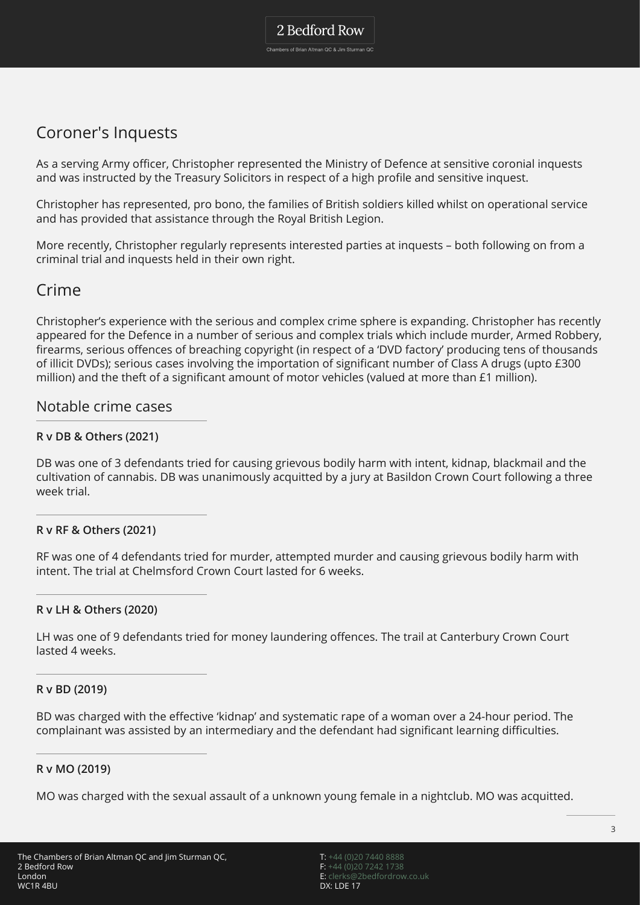# Coroner's Inquests

As a serving Army officer, Christopher represented the Ministry of Defence at sensitive coronial inquests and was instructed by the Treasury Solicitors in respect of a high profile and sensitive inquest.

Christopher has represented, pro bono, the families of British soldiers killed whilst on operational service and has provided that assistance through the Royal British Legion.

More recently, Christopher regularly represents interested parties at inquests – both following on from a criminal trial and inquests held in their own right.

## Crime

Christopher's experience with the serious and complex crime sphere is expanding. Christopher has recently appeared for the Defence in a number of serious and complex trials which include murder, Armed Robbery, firearms, serious offences of breaching copyright (in respect of a 'DVD factory' producing tens of thousands of illicit DVDs); serious cases involving the importation of significant number of Class A drugs (upto £300 million) and the theft of a significant amount of motor vehicles (valued at more than £1 million).

### Notable crime cases

#### **R v DB & Others (2021)**

DB was one of 3 defendants tried for causing grievous bodily harm with intent, kidnap, blackmail and the cultivation of cannabis. DB was unanimously acquitted by a jury at Basildon Crown Court following a three week trial.

#### **R v RF & Others (2021)**

RF was one of 4 defendants tried for murder, attempted murder and causing grievous bodily harm with intent. The trial at Chelmsford Crown Court lasted for 6 weeks.

#### **R v LH & Others (2020)**

LH was one of 9 defendants tried for money laundering offences. The trail at Canterbury Crown Court lasted 4 weeks.

#### **R v BD (2019)**

BD was charged with the effective 'kidnap' and systematic rape of a woman over a 24-hour period. The complainant was assisted by an intermediary and the defendant had significant learning difficulties.

#### **R v MO (2019)**

MO was charged with the sexual assault of a unknown young female in a nightclub. MO was acquitted.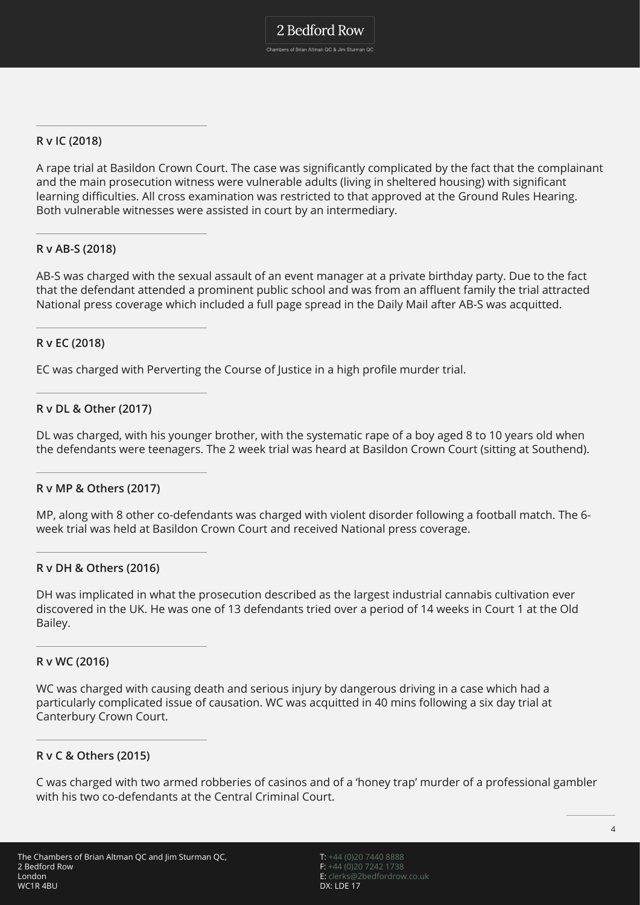#### **R v IC (2018)**

A rape trial at Basildon Crown Court. The case was significantly complicated by the fact that the complainant and the main prosecution witness were vulnerable adults (living in sheltered housing) with significant learning difficulties. All cross examination was restricted to that approved at the Ground Rules Hearing. Both vulnerable witnesses were assisted in court by an intermediary.

#### **R v AB-S (2018)**

AB-S was charged with the sexual assault of an event manager at a private birthday party. Due to the fact that the defendant attended a prominent public school and was from an affluent family the trial attracted National press coverage which included a full page spread in the Daily Mail after AB-S was acquitted.

#### **R v EC (2018)**

EC was charged with Perverting the Course of Justice in a high profile murder trial.

#### **R v DL & Other (2017)**

DL was charged, with his younger brother, with the systematic rape of a boy aged 8 to 10 years old when the defendants were teenagers. The 2 week trial was heard at Basildon Crown Court (sitting at Southend).

#### **R v MP & Others (2017)**

MP, along with 8 other co-defendants was charged with violent disorder following a football match. The 6 week trial was held at Basildon Crown Court and received National press coverage.

#### **R v DH & Others (2016)**

DH was implicated in what the prosecution described as the largest industrial cannabis cultivation ever discovered in the UK. He was one of 13 defendants tried over a period of 14 weeks in Court 1 at the Old Bailey.

#### **R v WC (2016)**

WC was charged with causing death and serious injury by dangerous driving in a case which had a particularly complicated issue of causation. WC was acquitted in 40 mins following a six day trial at Canterbury Crown Court.

#### **R v C & Others (2015)**

C was charged with two armed robberies of casinos and of a 'honey trap' murder of a professional gambler with his two co-defendants at the Central Criminal Court.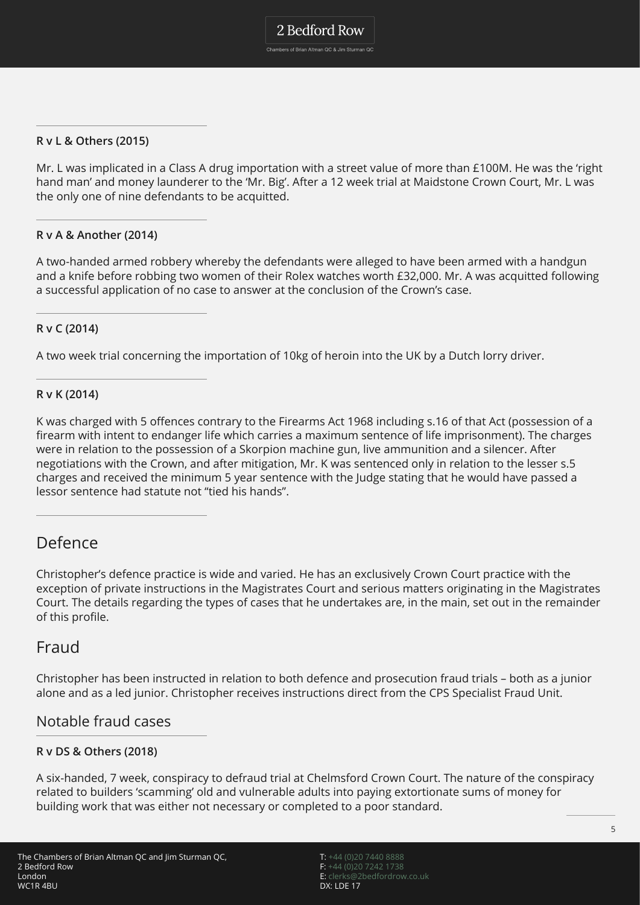**R v L & Others (2015)**

Mr. L was implicated in a Class A drug importation with a street value of more than £100M. He was the 'right hand man' and money launderer to the 'Mr. Big'. After a 12 week trial at Maidstone Crown Court, Mr. L was the only one of nine defendants to be acquitted.

#### **R v A & Another (2014)**

A two-handed armed robbery whereby the defendants were alleged to have been armed with a handgun and a knife before robbing two women of their Rolex watches worth £32,000. Mr. A was acquitted following a successful application of no case to answer at the conclusion of the Crown's case.

#### **R v C (2014)**

A two week trial concerning the importation of 10kg of heroin into the UK by a Dutch lorry driver.

#### **R v K (2014)**

K was charged with 5 offences contrary to the Firearms Act 1968 including s.16 of that Act (possession of a firearm with intent to endanger life which carries a maximum sentence of life imprisonment). The charges were in relation to the possession of a Skorpion machine gun, live ammunition and a silencer. After negotiations with the Crown, and after mitigation, Mr. K was sentenced only in relation to the lesser s.5 charges and received the minimum 5 year sentence with the Judge stating that he would have passed a lessor sentence had statute not "tied his hands".

## Defence

Christopher's defence practice is wide and varied. He has an exclusively Crown Court practice with the exception of private instructions in the Magistrates Court and serious matters originating in the Magistrates Court. The details regarding the types of cases that he undertakes are, in the main, set out in the remainder of this profile.

### Fraud

Christopher has been instructed in relation to both defence and prosecution fraud trials – both as a junior alone and as a led junior. Christopher receives instructions direct from the CPS Specialist Fraud Unit.

### Notable fraud cases

#### **R v DS & Others (2018)**

A six-handed, 7 week, conspiracy to defraud trial at Chelmsford Crown Court. The nature of the conspiracy related to builders 'scamming' old and vulnerable adults into paying extortionate sums of money for building work that was either not necessary or completed to a poor standard.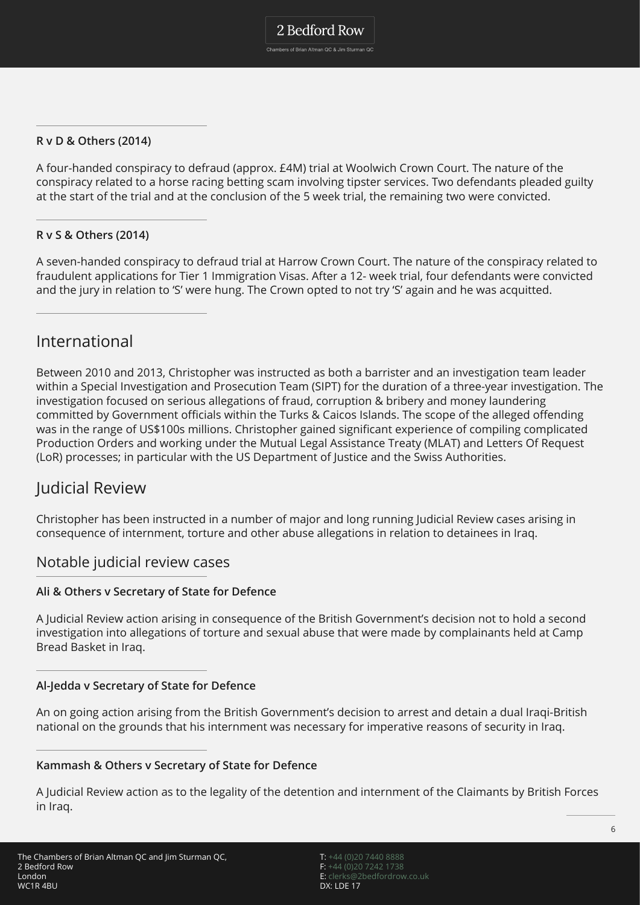**R v D & Others (2014)**

A four-handed conspiracy to defraud (approx. £4M) trial at Woolwich Crown Court. The nature of the conspiracy related to a horse racing betting scam involving tipster services. Two defendants pleaded guilty at the start of the trial and at the conclusion of the 5 week trial, the remaining two were convicted.

#### **R v S & Others (2014)**

A seven-handed conspiracy to defraud trial at Harrow Crown Court. The nature of the conspiracy related to fraudulent applications for Tier 1 Immigration Visas. After a 12- week trial, four defendants were convicted and the jury in relation to 'S' were hung. The Crown opted to not try 'S' again and he was acquitted.

### International

Between 2010 and 2013, Christopher was instructed as both a barrister and an investigation team leader within a Special Investigation and Prosecution Team (SIPT) for the duration of a three-year investigation. The investigation focused on serious allegations of fraud, corruption & bribery and money laundering committed by Government officials within the Turks & Caicos Islands. The scope of the alleged offending was in the range of US\$100s millions. Christopher gained significant experience of compiling complicated Production Orders and working under the Mutual Legal Assistance Treaty (MLAT) and Letters Of Request (LoR) processes; in particular with the US Department of Justice and the Swiss Authorities.

### Judicial Review

Christopher has been instructed in a number of major and long running Judicial Review cases arising in consequence of internment, torture and other abuse allegations in relation to detainees in Iraq.

#### Notable judicial review cases

#### **Ali & Others v Secretary of State for Defence**

A Judicial Review action arising in consequence of the British Government's decision not to hold a second investigation into allegations of torture and sexual abuse that were made by complainants held at Camp Bread Basket in Iraq.

#### **Al-Jedda v Secretary of State for Defence**

An on going action arising from the British Government's decision to arrest and detain a dual Iraqi-British national on the grounds that his internment was necessary for imperative reasons of security in Iraq.

#### **Kammash & Others v Secretary of State for Defence**

A Judicial Review action as to the legality of the detention and internment of the Claimants by British Forces in Iraq.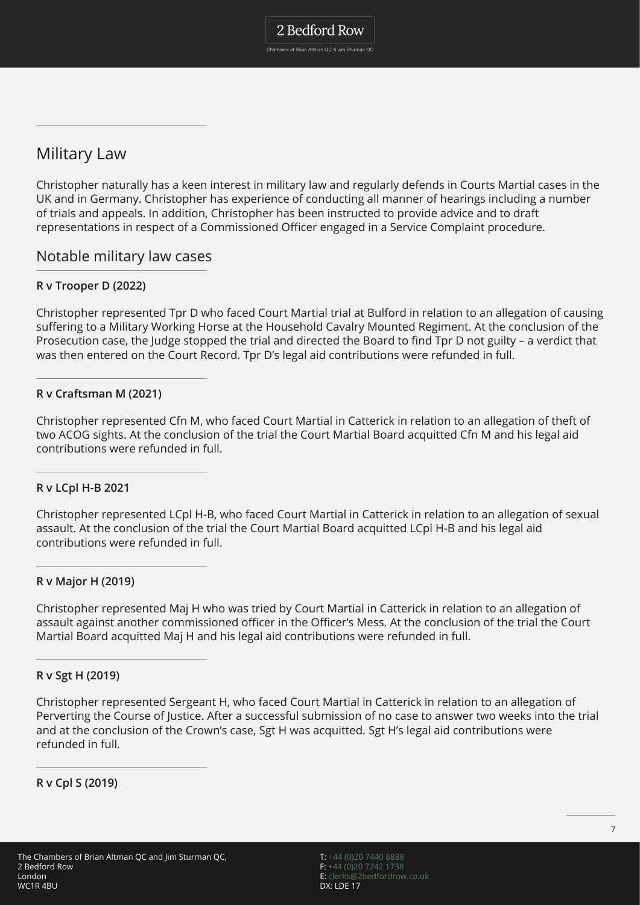Military Law

Christopher naturally has a keen interest in military law and regularly defends in Courts Martial cases in the UK and in Germany. Christopher has experience of conducting all manner of hearings including a number of trials and appeals. In addition, Christopher has been instructed to provide advice and to draft representations in respect of a Commissioned Officer engaged in a Service Complaint procedure.

### Notable military law cases

#### **R v Trooper D (2022)**

Christopher represented Tpr D who faced Court Martial trial at Bulford in relation to an allegation of causing suffering to a Military Working Horse at the Household Cavalry Mounted Regiment. At the conclusion of the Prosecution case, the Judge stopped the trial and directed the Board to find Tpr D not guilty – a verdict that was then entered on the Court Record. Tpr D's legal aid contributions were refunded in full.

#### **R v Craftsman M (2021)**

Christopher represented Cfn M, who faced Court Martial in Catterick in relation to an allegation of theft of two ACOG sights. At the conclusion of the trial the Court Martial Board acquitted Cfn M and his legal aid contributions were refunded in full.

#### **R v LCpl H-B 2021**

Christopher represented LCpl H-B, who faced Court Martial in Catterick in relation to an allegation of sexual assault. At the conclusion of the trial the Court Martial Board acquitted LCpl H-B and his legal aid contributions were refunded in full.

#### **R v Major H (2019)**

Christopher represented Maj H who was tried by Court Martial in Catterick in relation to an allegation of assault against another commissioned officer in the Officer's Mess. At the conclusion of the trial the Court Martial Board acquitted Maj H and his legal aid contributions were refunded in full.

#### **R v Sgt H (2019)**

Christopher represented Sergeant H, who faced Court Martial in Catterick in relation to an allegation of Perverting the Course of Justice. After a successful submission of no case to answer two weeks into the trial and at the conclusion of the Crown's case, Sgt H was acquitted. Sgt H's legal aid contributions were refunded in full.

**R v Cpl S (2019)**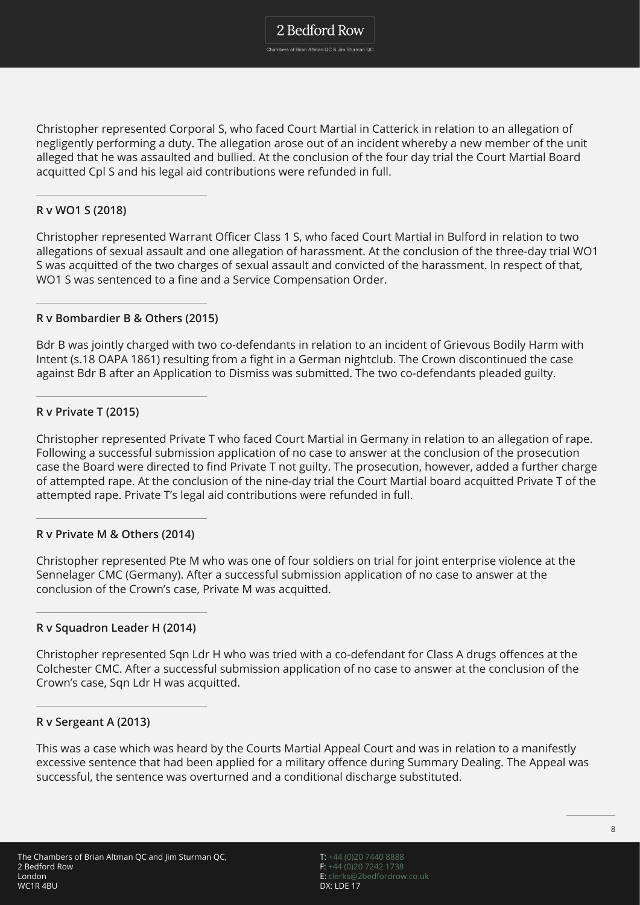Chambers of Brian Altman QC & Jim Sturman QC

Christopher represented Corporal S, who faced Court Martial in Catterick in relation to an allegation of negligently performing a duty. The allegation arose out of an incident whereby a new member of the unit alleged that he was assaulted and bullied. At the conclusion of the four day trial the Court Martial Board acquitted Cpl S and his legal aid contributions were refunded in full.

#### **R v WO1 S (2018)**

Christopher represented Warrant Officer Class 1 S, who faced Court Martial in Bulford in relation to two allegations of sexual assault and one allegation of harassment. At the conclusion of the three-day trial WO1 S was acquitted of the two charges of sexual assault and convicted of the harassment. In respect of that, WO1 S was sentenced to a fine and a Service Compensation Order.

#### **R v Bombardier B & Others (2015)**

Bdr B was jointly charged with two co-defendants in relation to an incident of Grievous Bodily Harm with Intent (s.18 OAPA 1861) resulting from a fight in a German nightclub. The Crown discontinued the case against Bdr B after an Application to Dismiss was submitted. The two co-defendants pleaded guilty.

#### **R v Private T (2015)**

Christopher represented Private T who faced Court Martial in Germany in relation to an allegation of rape. Following a successful submission application of no case to answer at the conclusion of the prosecution case the Board were directed to find Private T not guilty. The prosecution, however, added a further charge of attempted rape. At the conclusion of the nine-day trial the Court Martial board acquitted Private T of the attempted rape. Private T's legal aid contributions were refunded in full.

#### **R v Private M & Others (2014)**

Christopher represented Pte M who was one of four soldiers on trial for joint enterprise violence at the Sennelager CMC (Germany). After a successful submission application of no case to answer at the conclusion of the Crown's case, Private M was acquitted.

#### **R v Squadron Leader H (2014)**

Christopher represented Sqn Ldr H who was tried with a co-defendant for Class A drugs offences at the Colchester CMC. After a successful submission application of no case to answer at the conclusion of the Crown's case, Sqn Ldr H was acquitted.

#### **R v Sergeant A (2013)**

This was a case which was heard by the Courts Martial Appeal Court and was in relation to a manifestly excessive sentence that had been applied for a military offence during Summary Dealing. The Appeal was successful, the sentence was overturned and a conditional discharge substituted.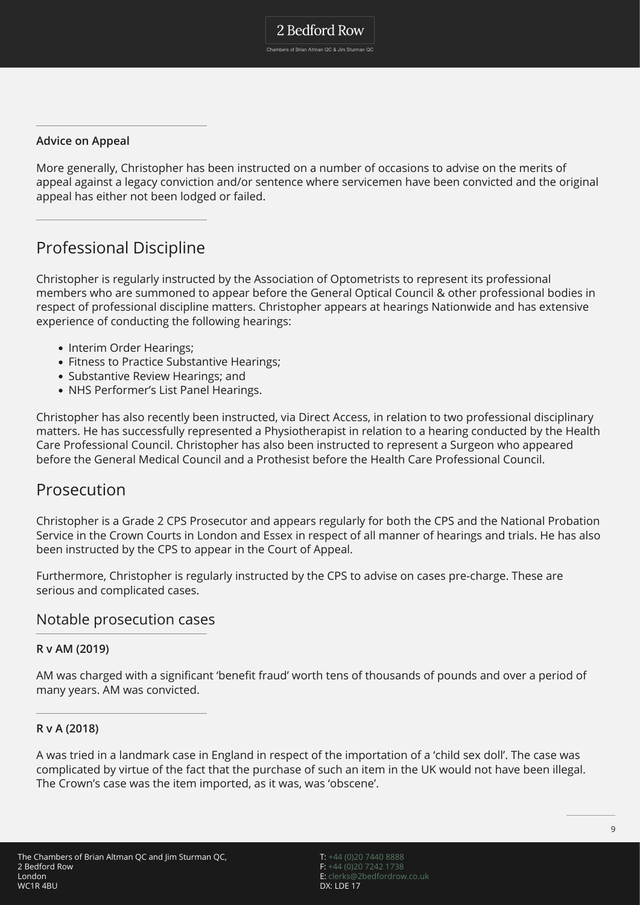#### **Advice on Appeal**

More generally, Christopher has been instructed on a number of occasions to advise on the merits of appeal against a legacy conviction and/or sentence where servicemen have been convicted and the original appeal has either not been lodged or failed.

# Professional Discipline

Christopher is regularly instructed by the Association of Optometrists to represent its professional members who are summoned to appear before the General Optical Council & other professional bodies in respect of professional discipline matters. Christopher appears at hearings Nationwide and has extensive experience of conducting the following hearings:

- Interim Order Hearings;
- Fitness to Practice Substantive Hearings:
- Substantive Review Hearings; and
- NHS Performer's List Panel Hearings.

Christopher has also recently been instructed, via Direct Access, in relation to two professional disciplinary matters. He has successfully represented a Physiotherapist in relation to a hearing conducted by the Health Care Professional Council. Christopher has also been instructed to represent a Surgeon who appeared before the General Medical Council and a Prothesist before the Health Care Professional Council.

### **Prosecution**

Christopher is a Grade 2 CPS Prosecutor and appears regularly for both the CPS and the National Probation Service in the Crown Courts in London and Essex in respect of all manner of hearings and trials. He has also been instructed by the CPS to appear in the Court of Appeal.

Furthermore, Christopher is regularly instructed by the CPS to advise on cases pre-charge. These are serious and complicated cases.

#### Notable prosecution cases

#### **R v AM (2019)**

AM was charged with a significant 'benefit fraud' worth tens of thousands of pounds and over a period of many years. AM was convicted.

#### **R v A (2018)**

A was tried in a landmark case in England in respect of the importation of a 'child sex doll'. The case was complicated by virtue of the fact that the purchase of such an item in the UK would not have been illegal. The Crown's case was the item imported, as it was, was 'obscene'.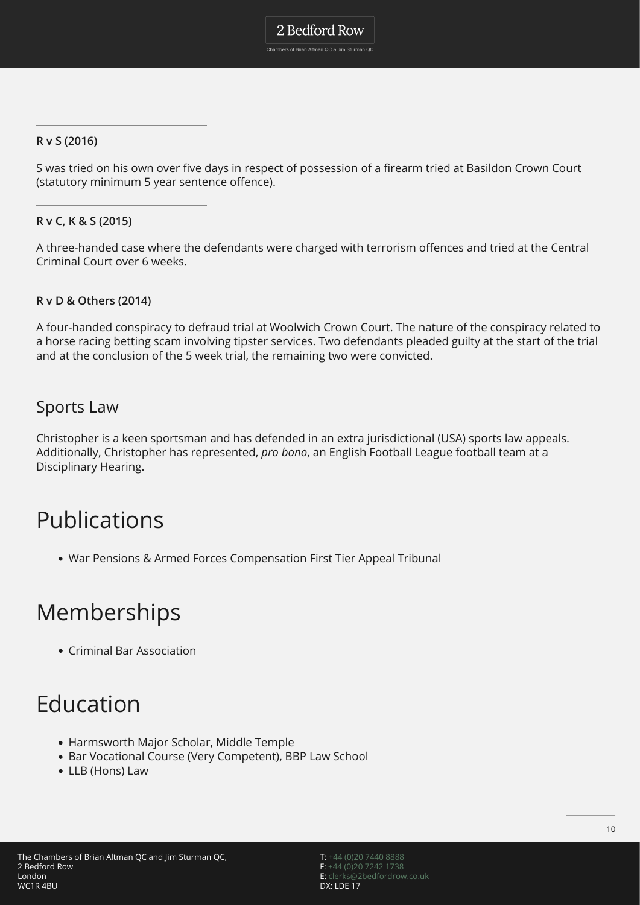Chambers of Brian Altman QC & Jim Sturman QC

#### **R v S (2016)**

S was tried on his own over five days in respect of possession of a firearm tried at Basildon Crown Court (statutory minimum 5 year sentence offence).

#### **R v C, K & S (2015)**

A three-handed case where the defendants were charged with terrorism offences and tried at the Central Criminal Court over 6 weeks.

#### **R v D & Others (2014)**

A four-handed conspiracy to defraud trial at Woolwich Crown Court. The nature of the conspiracy related to a horse racing betting scam involving tipster services. Two defendants pleaded guilty at the start of the trial and at the conclusion of the 5 week trial, the remaining two were convicted.

## Sports Law

Christopher is a keen sportsman and has defended in an extra jurisdictional (USA) sports law appeals. Additionally, Christopher has represented, *pro bono*, an English Football League football team at a Disciplinary Hearing.

# Publications

War Pensions & Armed Forces Compensation First Tier Appeal Tribunal

# Memberships

Criminal Bar Association

# Education

- Harmsworth Major Scholar, Middle Temple
- Bar Vocational Course (Very Competent), BBP Law School
- LLB (Hons) Law